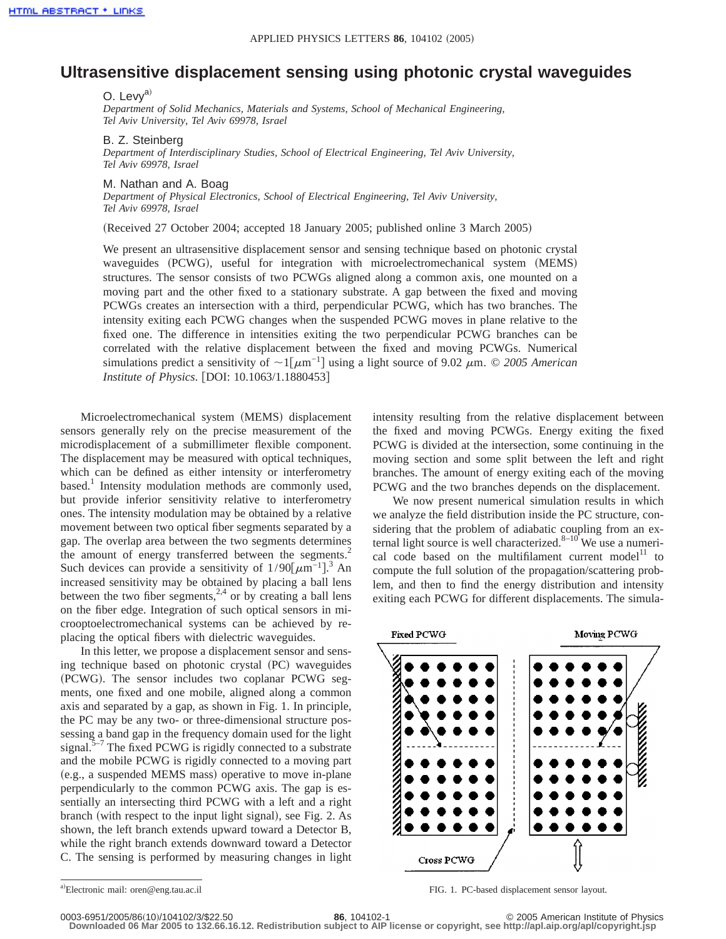## **Ultrasensitive displacement sensing using photonic crystal waveguides**

O. Levv<sup>a)</sup>

*Department of Solid Mechanics, Materials and Systems, School of Mechanical Engineering, Tel Aviv University, Tel Aviv 69978, Israel*

## B. Z. Steinberg

*Department of Interdisciplinary Studies, School of Electrical Engineering, Tel Aviv University, Tel Aviv 69978, Israel*

M. Nathan and A. Boag

*Department of Physical Electronics, School of Electrical Engineering, Tel Aviv University, Tel Aviv 69978, Israel*

(Received 27 October 2004; accepted 18 January 2005; published online 3 March 2005)

We present an ultrasensitive displacement sensor and sensing technique based on photonic crystal waveguides (PCWG), useful for integration with microelectromechanical system (MEMS) structures. The sensor consists of two PCWGs aligned along a common axis, one mounted on a moving part and the other fixed to a stationary substrate. A gap between the fixed and moving PCWGs creates an intersection with a third, perpendicular PCWG, which has two branches. The intensity exiting each PCWG changes when the suspended PCWG moves in plane relative to the fixed one. The difference in intensities exiting the two perpendicular PCWG branches can be correlated with the relative displacement between the fixed and moving PCWGs. Numerical simulations predict a sensitivity of  $\sim1[\mu m^{-1}]$  using a light source of 9.02  $\mu$ m. © *2005 American Institute of Physics.* [DOI: 10.1063/1.1880453]

Microelectromechanical system (MEMS) displacement sensors generally rely on the precise measurement of the microdisplacement of a submillimeter flexible component. The displacement may be measured with optical techniques, which can be defined as either intensity or interferometry based.<sup>1</sup> Intensity modulation methods are commonly used, but provide inferior sensitivity relative to interferometry ones. The intensity modulation may be obtained by a relative movement between two optical fiber segments separated by a gap. The overlap area between the two segments determines the amount of energy transferred between the segments. $2$ Such devices can provide a sensitivity of  $1/90[\mu m^{-1}]$ .<sup>3</sup> An increased sensitivity may be obtained by placing a ball lens between the two fiber segments,  $2,4$  or by creating a ball lens on the fiber edge. Integration of such optical sensors in microoptoelectromechanical systems can be achieved by replacing the optical fibers with dielectric waveguides.

In this letter, we propose a displacement sensor and sensing technique based on photonic crystal (PC) waveguides (PCWG). The sensor includes two coplanar PCWG segments, one fixed and one mobile, aligned along a common axis and separated by a gap, as shown in Fig. 1. In principle, the PC may be any two- or three-dimensional structure possessing a band gap in the frequency domain used for the light signal. $5\frac{1}{2}$  The fixed PCWG is rigidly connected to a substrate and the mobile PCWG is rigidly connected to a moving part (e.g., a suspended MEMS mass) operative to move in-plane perpendicularly to the common PCWG axis. The gap is essentially an intersecting third PCWG with a left and a right branch (with respect to the input light signal), see Fig. 2. As shown, the left branch extends upward toward a Detector B, while the right branch extends downward toward a Detector C. The sensing is performed by measuring changes in light

We now present numerical simulation results in which we analyze the field distribution inside the PC structure, considering that the problem of adiabatic coupling from an external light source is well characterized. $8-10$  We use a numerical code based on the multifilament current model<sup>11</sup> to compute the full solution of the propagation/scattering problem, and then to find the energy distribution and intensity exiting each PCWG for different displacements. The simula-



FIG. 1. PC-based displacement sensor layout.

**Downloaded 06 Mar 2005 to 132.66.16.12. Redistribution subject to AIP license or copyright, see http://apl.aip.org/apl/copyright.jsp**

intensity resulting from the relative displacement between the fixed and moving PCWGs. Energy exiting the fixed PCWG is divided at the intersection, some continuing in the moving section and some split between the left and right branches. The amount of energy exiting each of the moving PCWG and the two branches depends on the displacement.

a)Electronic mail: oren@eng.tau.ac.il

<sup>0003-6951/2005/86(10)/104102/3/\$22.50</sup> **86**, 104102-1 © 2005 American Institute of Physics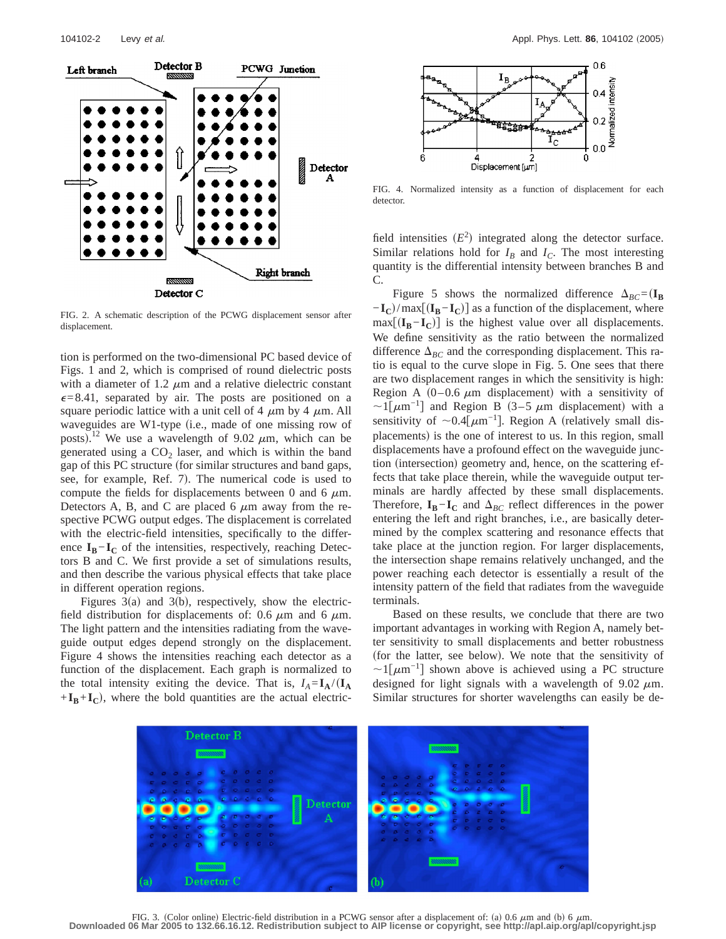

FIG. 2. A schematic description of the PCWG displacement sensor after displacement.

tion is performed on the two-dimensional PC based device of Figs. 1 and 2, which is comprised of round dielectric posts with a diameter of 1.2  $\mu$ m and a relative dielectric constant  $\epsilon$ =8.41, separated by air. The posts are positioned on a square periodic lattice with a unit cell of 4  $\mu$ m by 4  $\mu$ m. All waveguides are W1-type (i.e., made of one missing row of posts).<sup>12</sup> We use a wavelength of 9.02  $\mu$ m, which can be generated using a  $CO<sub>2</sub>$  laser, and which is within the band gap of this PC structure (for similar structures and band gaps, see, for example, Ref. 7). The numerical code is used to compute the fields for displacements between 0 and 6  $\mu$ m. Detectors A, B, and C are placed 6  $\mu$ m away from the respective PCWG output edges. The displacement is correlated with the electric-field intensities, specifically to the difference  $I_B-I_C$  of the intensities, respectively, reaching Detectors B and C. We first provide a set of simulations results, and then describe the various physical effects that take place in different operation regions.

Figures  $3(a)$  and  $3(b)$ , respectively, show the electricfield distribution for displacements of: 0.6  $\mu$ m and 6  $\mu$ m. The light pattern and the intensities radiating from the waveguide output edges depend strongly on the displacement. Figure 4 shows the intensities reaching each detector as a function of the displacement. Each graph is normalized to the total intensity exiting the device. That is,  $I_A = I_A / (I_A)$  $+I_B+I_C$ , where the bold quantities are the actual electric-



FIG. 4. Normalized intensity as a function of displacement for each detector.

field intensities  $(E^2)$  integrated along the detector surface. Similar relations hold for  $I_B$  and  $I_C$ . The most interesting quantity is the differential intensity between branches B and C.

Figure 5 shows the normalized difference  $\Delta_{BC} = (\mathbf{I}_{\mathbf{B}})$  $-\mathbf{I_C}$ /max $[(\mathbf{I_B} - \mathbf{I_C})]$  as a function of the displacement, where  $max[(\mathbf{I}_B - \mathbf{I}_C)]$  is the highest value over all displacements. We define sensitivity as the ratio between the normalized difference  $\Delta_{BC}$  and the corresponding displacement. This ratio is equal to the curve slope in Fig. 5. One sees that there are two displacement ranges in which the sensitivity is high: Region A  $(0-0.6 \mu m)$  displacement) with a sensitivity of  $\sim1$ [ $\mu$ m<sup>-1</sup>] and Region B (3–5  $\mu$ m displacement) with a sensitivity of  $\sim 0.4$ [ $\mu$ m<sup>-1</sup>]. Region A (relatively small displacements) is the one of interest to us. In this region, small displacements have a profound effect on the waveguide junction (intersection) geometry and, hence, on the scattering effects that take place therein, while the waveguide output terminals are hardly affected by these small displacements. Therefore,  $\mathbf{I}_{\mathbf{B}} - \mathbf{I}_{\mathbf{C}}$  and  $\Delta_{BC}$  reflect differences in the power entering the left and right branches, i.e., are basically determined by the complex scattering and resonance effects that take place at the junction region. For larger displacements, the intersection shape remains relatively unchanged, and the power reaching each detector is essentially a result of the intensity pattern of the field that radiates from the waveguide terminals.

Based on these results, we conclude that there are two important advantages in working with Region A, namely better sensitivity to small displacements and better robustness (for the latter, see below). We note that the sensitivity of  $\sim1[\mu m^{-1}]$  shown above is achieved using a PC structure designed for light signals with a wavelength of  $9.02 \mu m$ . Similar structures for shorter wavelengths can easily be de-



FIG. 3. (Color online) Electric-field distribution in a PCWG sensor after a displacement of: (a) 0.6  $\mu$ m and (b) 6  $\mu$ m. **Downloaded 06 Mar 2005 to 132.66.16.12. Redistribution subject to AIP license or copyright, see http://apl.aip.org/apl/copyright.jsp**